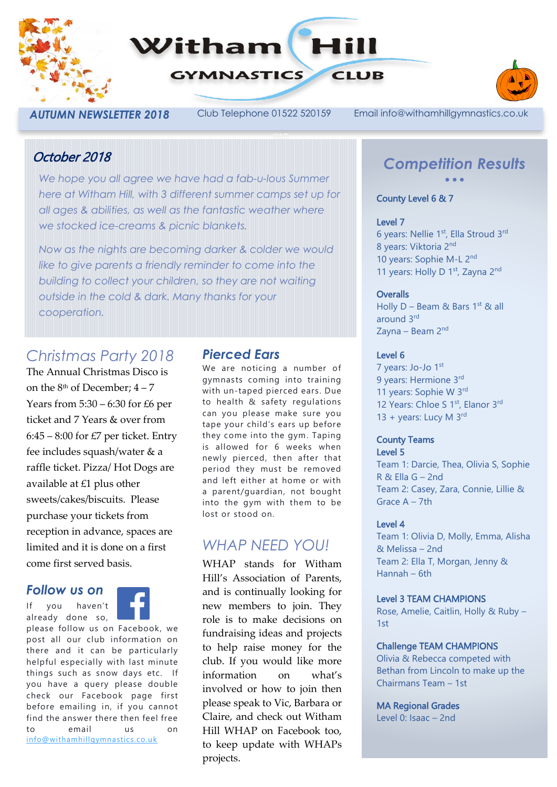



*AUTUMN NEWSLETTER 2018* Club Telephone 01522 520159 Email info@withamhillgymnastics.co.uk

## October 2018

*We hope you all agree we have had a fab-u-lous Summer here at Witham Hill, with 3 different summer camps set up for all ages & abilities, as well as the fantastic weather where we stocked ice-creams & picnic blankets.*

*Now as the nights are becoming darker & colder we would like to give parents a friendly reminder to come into the building to collect your children, so they are not waiting outside in the cold & dark. Many thanks for your cooperation.*

# *Christmas Party 2018*

The Annual Christmas Disco is on the  $8<sup>th</sup>$  of December:  $4-7$ Years from 5:30 – 6:30 for £6 per ticket and 7 Years & over from  $6:45 - 8:00$  for £7 per ticket. Entry fee includes squash/water & a raffle ticket. Pizza/ Hot Dogs are available at £1 plus other sweets/cakes/biscuits. Please purchase your tickets from reception in advance, spaces are limited and it is done on a first come first served basis.

### *Follow us on*

If you haven't already done so,



please follow us on Facebook, we post all our club information on there and it can be particularly helpful especially with last minute things such as snow days etc. If you have a query please double check our Facebook page first before emailing in, if you cannot find the answer there then feel free to email us on [info@withamhillgymnastics.co.uk](mailto:info@withamhillgymnastics.co.uk)

### *Pierced Ears*

We are noticing a number of gymnasts coming into training with un-taped pierced ears. Due to health & safety regulations can you please make sure you tape your child's ears up before they come into the gym. Taping is allowed for 6 weeks when newly pierced, then after that period they must be removed and left either at home or with a parent/guardian, not bought into the gym with them to be lost or stood on.

# *WHAP NEED YOU!*

WHAP stands for Witham Hill's Association of Parents, and is continually looking for new members to join. They role is to make decisions on fundraising ideas and projects to help raise money for the club. If you would like more information on what's involved or how to join then please speak to Vic, Barbara or Claire, and check out Witham Hill WHAP on Facebook too, to keep update with WHAPs projects.

## *Competition Results* • • •

### County Level 6 & 7

#### Level 7

6 years: Nellie 1<sup>st</sup>, Ella Stroud 3<sup>rd</sup> 8 years: Viktoria 2nd 10 years: Sophie M-L 2nd 11 years: Holly D 1<sup>st</sup>, Zayna 2<sup>nd</sup>

### **Overalls**

Holly  $D -$  Beam & Bars 1st & all around 3rd Zayna – Beam 2nd

### Level 6

7 years: Jo-Jo 1st 9 years: Hermione 3rd 11 years: Sophie W 3rd 12 Years: Chloe S 1<sup>st</sup>, Elanor 3<sup>rd</sup> 13 + years: Lucy M 3rd

#### County Teams Level 5

Team 1: Darcie, Thea, Olivia S, Sophie R & Ella G – 2nd Team 2: Casey, Zara, Connie, Lillie & Grace A – 7th

### Level 4

Team 1: Olivia D, Molly, Emma, Alisha & Melissa – 2nd Team 2: Ella T, Morgan, Jenny & Hannah – 6th

### Level 3 TEAM CHAMPIONS

Rose, Amelie, Caitlin, Holly & Ruby – 1st

### Challenge TEAM CHAMPIONS

Olivia & Rebecca competed with Bethan from Lincoln to make up the Chairmans Team – 1st

### MA Regional Grades

Level 0: Isaac – 2nd